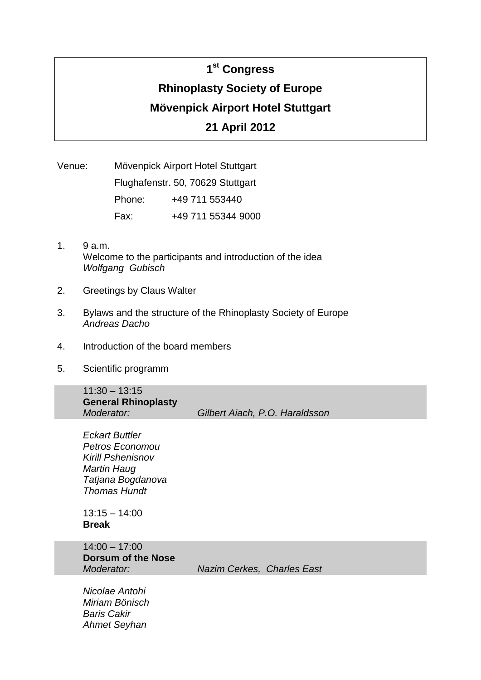# **1 st Congress Rhinoplasty Society of Europe Mövenpick Airport Hotel Stuttgart 21 April 2012**

Venue: Mövenpick Airport Hotel Stuttgart Flughafenstr. 50, 70629 Stuttgart Phone: +49 711 553440 Fax: +49 711 55344 9000

- 1. 9 a.m. Welcome to the participants and introduction of the idea *Wolfgang Gubisch*
- 2. Greetings by Claus Walter
- 3. Bylaws and the structure of the Rhinoplasty Society of Europe *Andreas Dacho*
- 4. Introduction of the board members
- 5. Scientific programm

11:30 – 13:15 **General Rhinoplasty** 

*Moderator: Gilbert Aiach, P.O. Haraldsson*

*Eckart Buttler Petros Economou Kirill Pshenisnov Martin Haug Tatjana Bogdanova Thomas Hundt*

 $13:15 - 14:00$ **Break**

14:00 – 17:00 **Dorsum of the Nose**

*Moderator: Nazim Cerkes, Charles East*

*Nicolae Antohi Miriam Bönisch Baris Cakir Ahmet Seyhan*